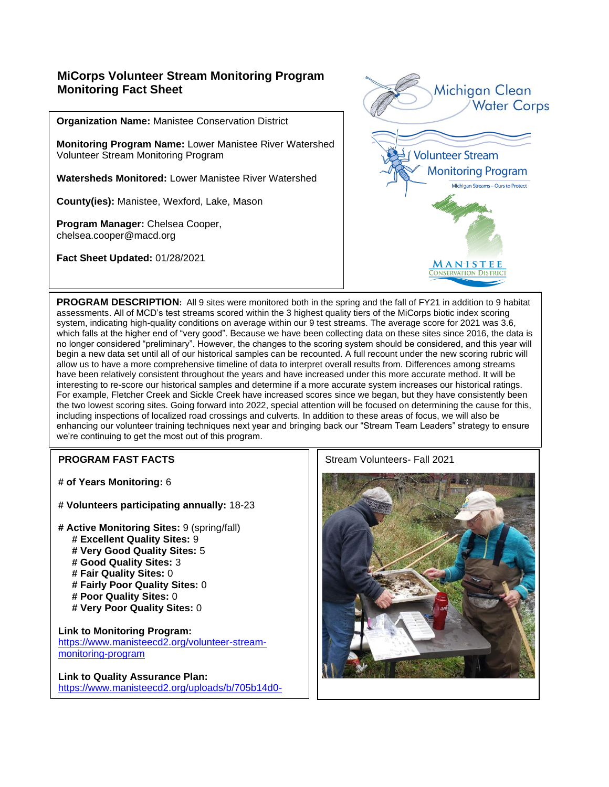## **MiCorps Volunteer Stream Monitoring Program Monitoring Fact Sheet**

**Organization Name:** Manistee Conservation District

**Monitoring Program Name:** Lower Manistee River Watershed Volunteer Stream Monitoring Program

**Watersheds Monitored:** Lower Manistee River Watershed

**County(ies):** Manistee, Wexford, Lake, Mason

**Program Manager:** Chelsea Cooper, chelsea.cooper@macd.org

**Fact Sheet Updated:** 01/28/2021



**PROGRAM DESCRIPTION:** All 9 sites were monitored both in the spring and the fall of FY21 in addition to 9 habitat assessments. All of MCD's test streams scored within the 3 highest quality tiers of the MiCorps biotic index scoring system, indicating high-quality conditions on average within our 9 test streams. The average score for 2021 was 3.6, which falls at the higher end of "very good". Because we have been collecting data on these sites since 2016, the data is no longer considered "preliminary". However, the changes to the scoring system should be considered, and this year will begin a new data set until all of our historical samples can be recounted. A full recount under the new scoring rubric will allow us to have a more comprehensive timeline of data to interpret overall results from. Differences among streams have been relatively consistent throughout the years and have increased under this more accurate method. It will be interesting to re-score our historical samples and determine if a more accurate system increases our historical ratings. For example, Fletcher Creek and Sickle Creek have increased scores since we began, but they have consistently been the two lowest scoring sites. Going forward into 2022, special attention will be focused on determining the cause for this, including inspections of localized road crossings and culverts. In addition to these areas of focus, we will also be enhancing our volunteer training techniques next year and bringing back our "Stream Team Leaders" strategy to ensure we're continuing to get the most out of this program.

**# of Years Monitoring:** 6

**# Volunteers participating annually:** 18-23

**# Active Monitoring Sites:** 9 (spring/fall)  **# Excellent Quality Sites:** 9  **# Very Good Quality Sites:** 5  **# Good Quality Sites:** 3  **# Fair Quality Sites:** 0  **# Fairly Poor Quality Sites:** 0  **# Poor Quality Sites:** 0  **# Very Poor Quality Sites:** 0

**Link to Monitoring Program:**  [https://www.manisteecd2.org/volunteer-stream](https://www.manisteecd2.org/volunteer-stream-monitoring-program)[monitoring-program](https://www.manisteecd2.org/volunteer-stream-monitoring-program)

**Link to Quality Assurance Plan:** [https://www.manisteecd2.org/uploads/b/705b14d0-](https://www.manisteecd2.org/uploads/b/705b14d0-1f95-11ec-92f9-2d3566a5d303/QAPP.pdf) **165-11ec-92f9-2d3566a5d303/Qapp.pdf** 

### **PROGRAM FAST FACTS** STREAM FAST FACTS STREAM STREAM STREAM STREAM STREAM STREAM STREAM STREAM STREAM STREAM STREAM STREAM STREAM STREAM STREAM STREAM STREAM STREAM STREAM STREAM STREAM STREAM STREAM STREAM STREAM STREAM S